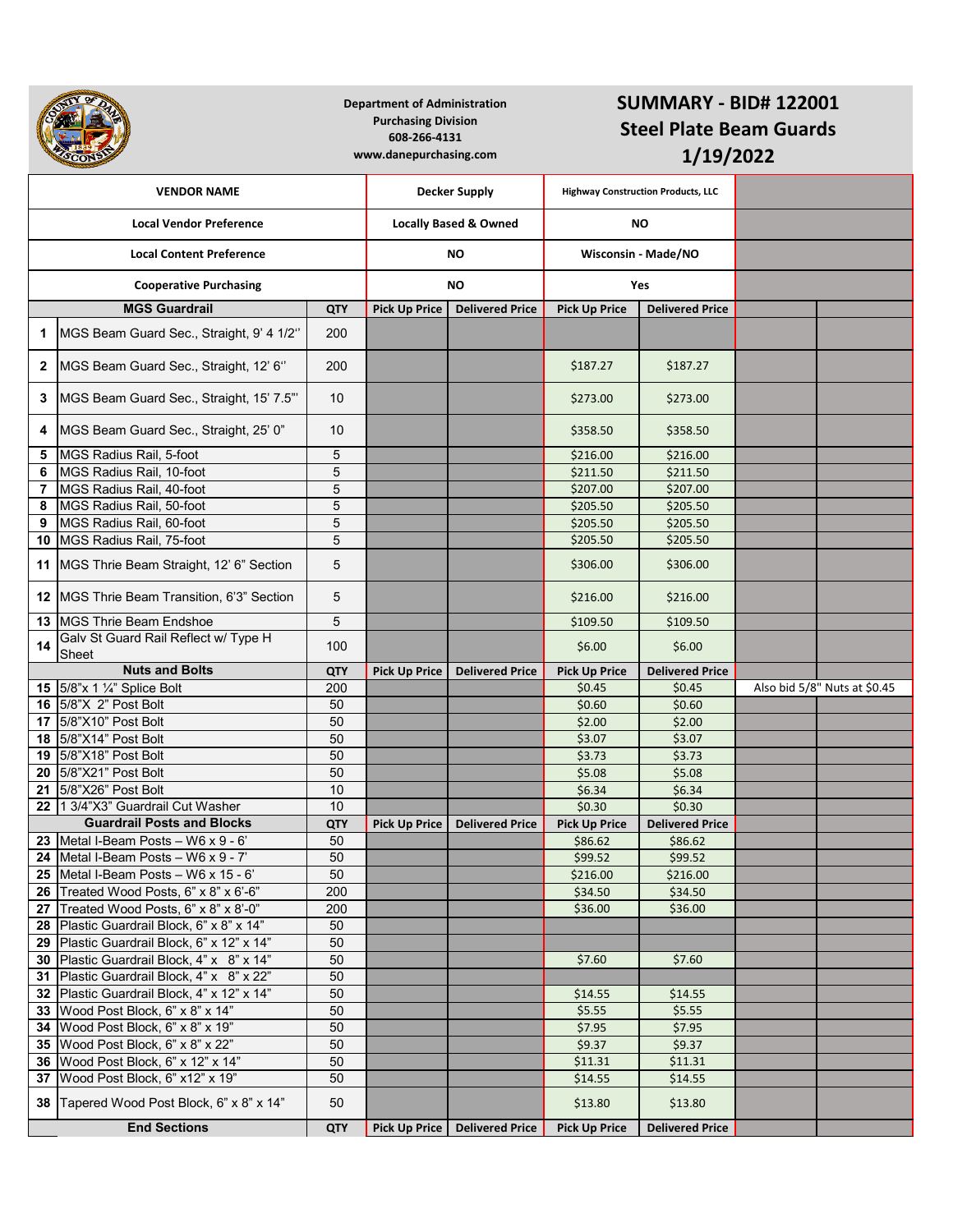|                                 |                                                                                         | <b>Department of Administration</b><br><b>Purchasing Division</b><br>608-266-4131<br>www.danepurchasing.com |                                  |                                           | <b>SUMMARY - BID# 122001</b><br><b>Steel Plate Beam Guards</b><br>1/19/2022 |                        |  |                              |
|---------------------------------|-----------------------------------------------------------------------------------------|-------------------------------------------------------------------------------------------------------------|----------------------------------|-------------------------------------------|-----------------------------------------------------------------------------|------------------------|--|------------------------------|
|                                 | <b>VENDOR NAME</b>                                                                      | <b>Decker Supply</b>                                                                                        |                                  | <b>Highway Construction Products, LLC</b> |                                                                             |                        |  |                              |
| <b>Local Vendor Preference</b>  |                                                                                         |                                                                                                             | <b>Locally Based &amp; Owned</b> |                                           | NO.                                                                         |                        |  |                              |
| <b>Local Content Preference</b> |                                                                                         | ΝO                                                                                                          |                                  | <b>Wisconsin - Made/NO</b>                |                                                                             |                        |  |                              |
| <b>Cooperative Purchasing</b>   |                                                                                         |                                                                                                             |                                  | ΝO                                        |                                                                             | Yes                    |  |                              |
|                                 | <b>MGS Guardrail</b>                                                                    | <b>QTY</b>                                                                                                  | <b>Pick Up Price</b>             | <b>Delivered Price</b>                    | <b>Pick Up Price</b>                                                        | <b>Delivered Price</b> |  |                              |
| 1                               | MGS Beam Guard Sec., Straight, 9' 4 1/2"                                                | 200                                                                                                         |                                  |                                           |                                                                             |                        |  |                              |
| $\mathbf{2}$                    | MGS Beam Guard Sec., Straight, 12' 6"                                                   | 200                                                                                                         |                                  |                                           | \$187.27                                                                    | \$187.27               |  |                              |
| 3                               | MGS Beam Guard Sec., Straight, 15' 7.5"                                                 | 10                                                                                                          |                                  |                                           | \$273.00                                                                    | \$273.00               |  |                              |
| 4                               | MGS Beam Guard Sec., Straight, 25' 0"                                                   | 10                                                                                                          |                                  |                                           | \$358.50                                                                    | \$358.50               |  |                              |
| 5                               | MGS Radius Rail, 5-foot                                                                 | 5                                                                                                           |                                  |                                           | \$216.00                                                                    | \$216.00               |  |                              |
| 6                               | MGS Radius Rail, 10-foot                                                                | $\sqrt{5}$                                                                                                  |                                  |                                           | \$211.50                                                                    | \$211.50               |  |                              |
| 7                               | MGS Radius Rail, 40-foot                                                                | 5                                                                                                           |                                  |                                           | \$207.00                                                                    | \$207.00               |  |                              |
| 8                               | MGS Radius Rail, 50-foot                                                                | $\overline{5}$                                                                                              |                                  |                                           | \$205.50                                                                    | \$205.50               |  |                              |
| 9                               | MGS Radius Rail, 60-foot                                                                | $\sqrt{5}$                                                                                                  |                                  |                                           | \$205.50                                                                    | \$205.50               |  |                              |
| 10                              | MGS Radius Rail, 75-foot                                                                | 5                                                                                                           |                                  |                                           | \$205.50                                                                    | \$205.50               |  |                              |
| 11                              | MGS Thrie Beam Straight, 12' 6" Section                                                 | 5                                                                                                           |                                  |                                           | \$306.00                                                                    | \$306.00               |  |                              |
|                                 | 12 MGS Thrie Beam Transition, 6'3" Section                                              | 5                                                                                                           |                                  |                                           | \$216.00                                                                    | \$216.00               |  |                              |
| 13                              | <b>IMGS Thrie Beam Endshoe</b>                                                          | 5                                                                                                           |                                  |                                           | \$109.50                                                                    | \$109.50               |  |                              |
| 14                              | Galv St Guard Rail Reflect w/ Type H<br>Sheet                                           | 100                                                                                                         |                                  |                                           | \$6.00                                                                      | \$6.00                 |  |                              |
|                                 | <b>Nuts and Bolts</b>                                                                   | QTY                                                                                                         | <b>Pick Up Price</b>             | <b>Delivered Price</b>                    | <b>Pick Up Price</b>                                                        | <b>Delivered Price</b> |  |                              |
| 15                              | 5/8"x 1 1/4" Splice Bolt                                                                | 200                                                                                                         |                                  |                                           | \$0.45                                                                      | \$0.45                 |  | Also bid 5/8" Nuts at \$0.45 |
| 16                              | 5/8"X 2" Post Bolt                                                                      | 50                                                                                                          |                                  |                                           | \$0.60                                                                      | \$0.60                 |  |                              |
| 17                              | 5/8"X10" Post Bolt                                                                      | 50                                                                                                          |                                  |                                           | \$2.00                                                                      | \$2.00                 |  |                              |
| 18                              | 5/8"X14" Post Bolt                                                                      | 50                                                                                                          |                                  |                                           | \$3.07                                                                      | \$3.07                 |  |                              |
| 19                              | 5/8"X18" Post Bolt                                                                      | 50                                                                                                          |                                  |                                           | \$3.73                                                                      | \$3.73                 |  |                              |
| 20                              | 5/8"X21" Post Bolt                                                                      | 50                                                                                                          |                                  |                                           | \$5.08                                                                      | \$5.08                 |  |                              |
|                                 | 21 5/8"X26" Post Bolt                                                                   | 10                                                                                                          |                                  |                                           | \$6.34                                                                      | \$6.34                 |  |                              |
|                                 | 22 1 3/4"X3" Guardrail Cut Washer                                                       | 10                                                                                                          |                                  |                                           | \$0.30                                                                      | \$0.30                 |  |                              |
|                                 | <b>Guardrail Posts and Blocks</b>                                                       | <b>QTY</b>                                                                                                  | <b>Pick Up Price</b>             | <b>Delivered Price</b>                    | <b>Pick Up Price</b>                                                        | <b>Delivered Price</b> |  |                              |
|                                 | 23 Metal I-Beam Posts - W6 x $9 - 6$ '                                                  | 50                                                                                                          |                                  |                                           | \$86.62                                                                     | \$86.62                |  |                              |
|                                 | 24 Metal I-Beam Posts $-$ W6 x 9 - 7'                                                   | 50                                                                                                          |                                  |                                           | \$99.52                                                                     | \$99.52                |  |                              |
|                                 | 25 Metal I-Beam Posts $-$ W6 x 15 - 6'                                                  | 50                                                                                                          |                                  |                                           | \$216.00                                                                    | \$216.00               |  |                              |
|                                 | 26 Treated Wood Posts, 6" x 8" x 6'-6"                                                  | 200                                                                                                         |                                  |                                           | \$34.50                                                                     | \$34.50                |  |                              |
|                                 | 27 Treated Wood Posts, 6" x 8" x 8'-0"                                                  | 200                                                                                                         |                                  |                                           | \$36.00                                                                     | \$36.00                |  |                              |
|                                 | 28 Plastic Guardrail Block, 6" x 8" x 14"                                               | 50<br>50                                                                                                    |                                  |                                           |                                                                             |                        |  |                              |
|                                 | 29 Plastic Guardrail Block, 6" x 12" x 14"<br>30 Plastic Guardrail Block, 4" x 8" x 14" | 50                                                                                                          |                                  |                                           |                                                                             |                        |  |                              |
| 31                              | Plastic Guardrail Block, 4" x 8" x 22"                                                  | 50                                                                                                          |                                  |                                           | \$7.60                                                                      | \$7.60                 |  |                              |
|                                 | 32 Plastic Guardrail Block, 4" x 12" x 14"                                              | 50                                                                                                          |                                  |                                           | \$14.55                                                                     | \$14.55                |  |                              |
|                                 | 33 Wood Post Block, 6" x 8" x 14"                                                       | 50                                                                                                          |                                  |                                           | \$5.55                                                                      | \$5.55                 |  |                              |
|                                 | 34 Wood Post Block, 6" x 8" x 19"                                                       | 50                                                                                                          |                                  |                                           | \$7.95                                                                      | \$7.95                 |  |                              |
|                                 | 35 Wood Post Block, 6" x 8" x 22"                                                       | 50                                                                                                          |                                  |                                           | \$9.37                                                                      | \$9.37                 |  |                              |
| 36                              | Wood Post Block, 6" x 12" x 14"                                                         | 50                                                                                                          |                                  |                                           | \$11.31                                                                     | \$11.31                |  |                              |
| 37                              | Wood Post Block, 6" x12" x 19"                                                          | 50                                                                                                          |                                  |                                           | \$14.55                                                                     | \$14.55                |  |                              |
|                                 | 38 Tapered Wood Post Block, 6" x 8" x 14"                                               | 50                                                                                                          |                                  |                                           | \$13.80                                                                     | \$13.80                |  |                              |
|                                 | <b>End Sections</b>                                                                     | <b>QTY</b>                                                                                                  | <b>Pick Up Price</b>             | <b>Delivered Price</b>                    | <b>Pick Up Price</b>                                                        | <b>Delivered Price</b> |  |                              |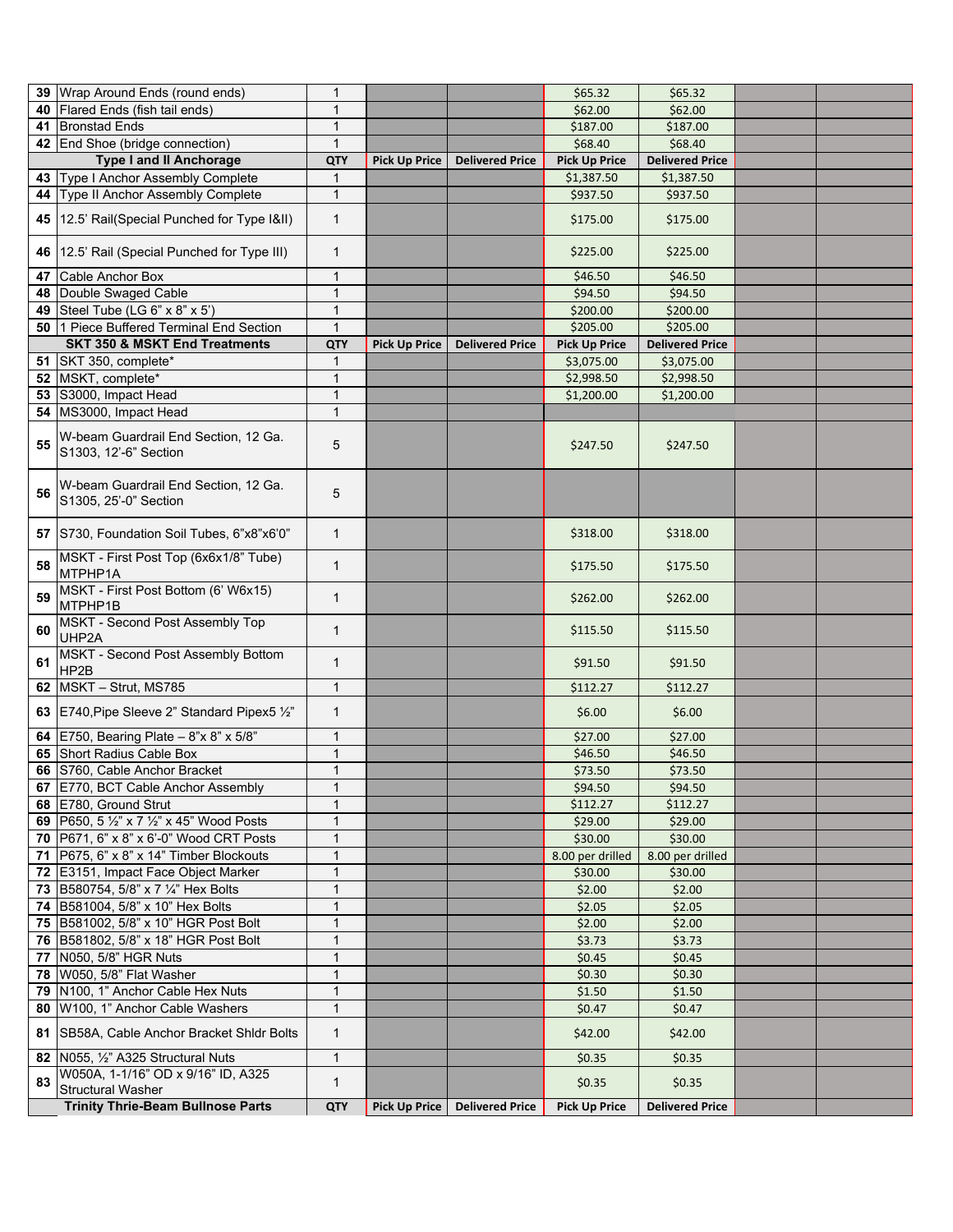|    | 39 Wrap Around Ends (round ends)                                     | 1            |                      |                        | \$65.32              | \$65.32                |  |
|----|----------------------------------------------------------------------|--------------|----------------------|------------------------|----------------------|------------------------|--|
|    | 40 Flared Ends (fish tail ends)                                      | 1            |                      |                        | \$62.00              | \$62.00                |  |
|    | 41 Bronstad Ends                                                     | $\mathbf{1}$ |                      |                        | \$187.00             | \$187.00               |  |
|    | 42 End Shoe (bridge connection)                                      | $\mathbf{1}$ |                      |                        | \$68.40              | \$68.40                |  |
|    | <b>Type I and II Anchorage</b>                                       | <b>QTY</b>   | <b>Pick Up Price</b> | <b>Delivered Price</b> | <b>Pick Up Price</b> | <b>Delivered Price</b> |  |
|    | 43 Type I Anchor Assembly Complete                                   | 1            |                      |                        | \$1,387.50           | \$1,387.50             |  |
|    | 44 Type II Anchor Assembly Complete                                  | $\mathbf{1}$ |                      |                        | \$937.50             | \$937.50               |  |
|    |                                                                      |              |                      |                        |                      |                        |  |
|    | 45   12.5' Rail(Special Punched for Type I&II)                       | $\mathbf{1}$ |                      |                        | \$175.00             | \$175.00               |  |
|    | 46   12.5' Rail (Special Punched for Type III)                       | $\mathbf{1}$ |                      |                        | \$225.00             | \$225.00               |  |
|    | 47 Cable Anchor Box                                                  | $\mathbf{1}$ |                      |                        | \$46.50              | \$46.50                |  |
|    | 48 Double Swaged Cable                                               | $\mathbf{1}$ |                      |                        | \$94.50              | \$94.50                |  |
|    | 49 Steel Tube (LG 6" x 8" x 5")                                      | $\mathbf{1}$ |                      |                        | \$200.00             | \$200.00               |  |
|    | 50 1 Piece Buffered Terminal End Section                             | $\mathbf{1}$ |                      |                        | \$205.00             | \$205.00               |  |
|    | <b>SKT 350 &amp; MSKT End Treatments</b>                             | <b>QTY</b>   | <b>Pick Up Price</b> | <b>Delivered Price</b> | <b>Pick Up Price</b> | <b>Delivered Price</b> |  |
|    | 51 SKT 350, complete*                                                | 1            |                      |                        | \$3,075.00           | \$3,075.00             |  |
|    | 52 MSKT, complete*                                                   | $\mathbf{1}$ |                      |                        | \$2,998.50           | \$2,998.50             |  |
|    | 53 S3000, Impact Head                                                | $\mathbf{1}$ |                      |                        | \$1,200.00           | \$1,200.00             |  |
|    | 54 MS3000, Impact Head                                               | $\mathbf{1}$ |                      |                        |                      |                        |  |
|    |                                                                      |              |                      |                        |                      |                        |  |
| 55 | W-beam Guardrail End Section, 12 Ga.<br>S1303, 12'-6" Section        | 5            |                      |                        | \$247.50             | \$247.50               |  |
| 56 | W-beam Guardrail End Section, 12 Ga.<br>S1305, 25'-0" Section        | 5            |                      |                        |                      |                        |  |
|    | 57 S730, Foundation Soil Tubes, 6"x8"x6'0"                           | $\mathbf{1}$ |                      |                        | \$318.00             | \$318.00               |  |
| 58 | MSKT - First Post Top (6x6x1/8" Tube)<br>MTPHP1A                     | $\mathbf{1}$ |                      |                        | \$175.50             | \$175.50               |  |
| 59 | MSKT - First Post Bottom (6' W6x15)<br>MTPHP1B                       | $\mathbf{1}$ |                      |                        | \$262.00             | \$262.00               |  |
| 60 | MSKT - Second Post Assembly Top<br>UHP2A                             | $\mathbf{1}$ |                      |                        | \$115.50             | \$115.50               |  |
| 61 | MSKT - Second Post Assembly Bottom<br>HP2B                           | $\mathbf{1}$ |                      |                        | \$91.50              | \$91.50                |  |
|    | 62 MSKT - Strut, MS785                                               | $\mathbf{1}$ |                      |                        | \$112.27             | \$112.27               |  |
|    | 63 E740, Pipe Sleeve 2" Standard Pipex5 1/2"                         | $\mathbf{1}$ |                      |                        | \$6.00               | \$6.00                 |  |
|    | <b>64</b> E750, Bearing Plate $- 8" \times 8" \times 5/8"$           | 1            |                      |                        | \$27.00              | \$27.00                |  |
|    | 65 Short Radius Cable Box                                            | $\mathbf{1}$ |                      |                        | \$46.50              | \$46.50                |  |
|    | 66 S760, Cable Anchor Bracket                                        | $\mathbf{1}$ |                      |                        | \$73.50              | \$73.50                |  |
|    | 67 E770, BCT Cable Anchor Assembly                                   | 1            |                      |                        | \$94.50              | \$94.50                |  |
|    | 68 E780, Ground Strut                                                | $\mathbf{1}$ |                      |                        | \$112.27             | \$112.27               |  |
|    | 69   P650, 5 1/2" x 7 1/2" x 45" Wood Posts                          | 1            |                      |                        | \$29.00              | \$29.00                |  |
|    | <b>70</b> P671, 6" x 8" x 6'-0" Wood CRT Posts                       | $\mathbf{1}$ |                      |                        | \$30.00              | \$30.00                |  |
|    | 71   P675, 6" x 8" x 14" Timber Blockouts                            | $\mathbf{1}$ |                      |                        | 8.00 per drilled     | 8.00 per drilled       |  |
|    | 72 E3151, Impact Face Object Marker                                  | $\mathbf{1}$ |                      |                        | \$30.00              | \$30.00                |  |
|    | 73 B580754, 5/8" x 7 1/4" Hex Bolts                                  | 1            |                      |                        | \$2.00               | \$2.00                 |  |
|    | 74 B581004, 5/8" x 10" Hex Bolts                                     | 1            |                      |                        | \$2.05               | \$2.05                 |  |
|    | 75 B581002, 5/8" x 10" HGR Post Bolt                                 | 1            |                      |                        | \$2.00               | \$2.00                 |  |
|    | 76 B581802, 5/8" x 18" HGR Post Bolt                                 | 1            |                      |                        | \$3.73               | \$3.73                 |  |
|    | 77 N050, 5/8" HGR Nuts                                               | $\mathbf{1}$ |                      |                        | \$0.45               | \$0.45                 |  |
|    | 78 W050, 5/8" Flat Washer                                            | $\mathbf{1}$ |                      |                        | \$0.30               | \$0.30                 |  |
|    | 79 N100, 1" Anchor Cable Hex Nuts                                    | $\mathbf{1}$ |                      |                        | \$1.50               | \$1.50                 |  |
|    | 80 W100, 1" Anchor Cable Washers                                     | $\mathbf{1}$ |                      |                        | \$0.47               | \$0.47                 |  |
|    | 81 SB58A, Cable Anchor Bracket Shidr Bolts                           | $\mathbf{1}$ |                      |                        | \$42.00              | \$42.00                |  |
|    | 82 N055, 1/2" A325 Structural Nuts                                   | $\mathbf{1}$ |                      |                        | \$0.35               | \$0.35                 |  |
| 83 | W050A, 1-1/16" OD x 9/16" ID, A325                                   | $\mathbf{1}$ |                      |                        | \$0.35               | \$0.35                 |  |
|    | <b>Structural Washer</b><br><b>Trinity Thrie-Beam Bullnose Parts</b> | <b>QTY</b>   | <b>Pick Up Price</b> | <b>Delivered Price</b> | <b>Pick Up Price</b> | <b>Delivered Price</b> |  |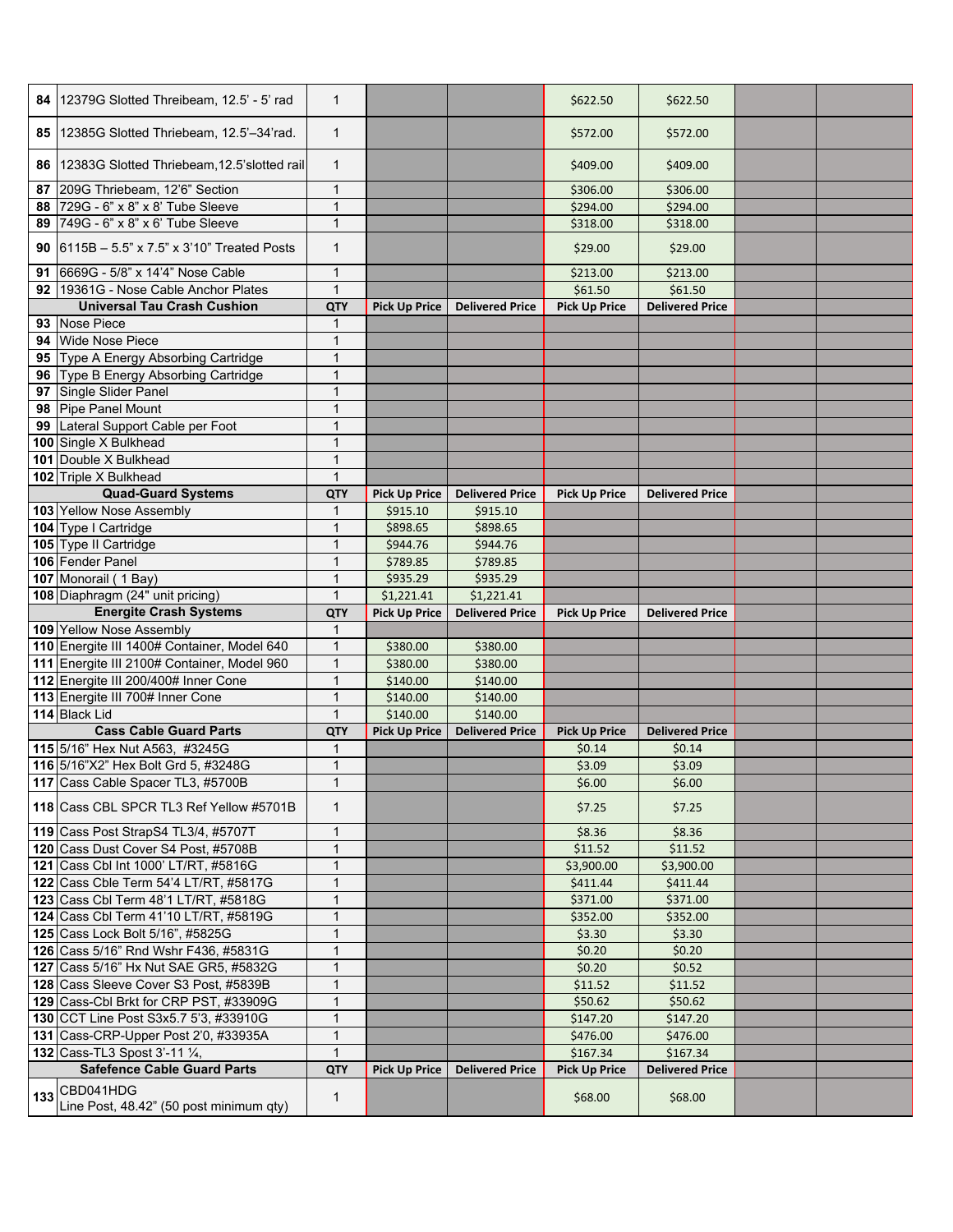|    | 84   12379G Slotted Threibeam, 12.5' - 5' rad                  | $\mathbf{1}$   |                      |                        | \$622.50             | \$622.50               |  |
|----|----------------------------------------------------------------|----------------|----------------------|------------------------|----------------------|------------------------|--|
|    | 85 12385G Slotted Thriebeam, 12.5'-34'rad.                     | $\mathbf{1}$   |                      |                        | \$572.00             | \$572.00               |  |
|    | 86 12383G Slotted Thriebeam, 12.5's lotted rail                | $\mathbf{1}$   |                      |                        | \$409.00             | \$409.00               |  |
| 87 | 209G Thriebeam, 12'6" Section                                  | 1              |                      |                        | \$306.00             | \$306.00               |  |
| 88 | 729G - 6" x 8" x 8' Tube Sleeve                                | 1              |                      |                        | \$294.00             | \$294.00               |  |
|    | 89 749G - 6" x 8" x 6' Tube Sleeve                             | $\mathbf{1}$   |                      |                        | \$318.00             | \$318.00               |  |
|    | 90 $\big  6115B - 5.5" \times 7.5" \times 3'10"$ Treated Posts | $\mathbf{1}$   |                      |                        | \$29.00              | \$29.00                |  |
|    | 91 6669G - 5/8" x 14'4" Nose Cable                             | 1              |                      |                        | \$213.00             | \$213.00               |  |
|    | 92 19361G - Nose Cable Anchor Plates                           | $\mathbf{1}$   |                      |                        | \$61.50              | \$61.50                |  |
|    | <b>Universal Tau Crash Cushion</b>                             | <b>QTY</b>     | <b>Pick Up Price</b> | <b>Delivered Price</b> | <b>Pick Up Price</b> | <b>Delivered Price</b> |  |
|    | 93 Nose Piece                                                  | 1              |                      |                        |                      |                        |  |
|    | 94 Wide Nose Piece                                             | 1              |                      |                        |                      |                        |  |
|    | 95 Type A Energy Absorbing Cartridge                           | 1              |                      |                        |                      |                        |  |
|    | 96 Type B Energy Absorbing Cartridge                           | 1              |                      |                        |                      |                        |  |
|    | 97 Single Slider Panel                                         | $\overline{1}$ |                      |                        |                      |                        |  |
|    | 98 Pipe Panel Mount                                            | 1              |                      |                        |                      |                        |  |
|    | 99 Lateral Support Cable per Foot                              | $\mathbf{1}$   |                      |                        |                      |                        |  |
|    | 100 Single X Bulkhead                                          | 1              |                      |                        |                      |                        |  |
|    | 101 Double X Bulkhead                                          | 1              |                      |                        |                      |                        |  |
|    | 102 Triple X Bulkhead                                          | $\mathbf{1}$   |                      |                        |                      |                        |  |
|    | <b>Quad-Guard Systems</b>                                      | QTY            | <b>Pick Up Price</b> | <b>Delivered Price</b> | <b>Pick Up Price</b> | <b>Delivered Price</b> |  |
|    | 103 Yellow Nose Assembly                                       | 1              | \$915.10             | \$915.10               |                      |                        |  |
|    | 104 Type I Cartridge                                           | 1              | \$898.65             | \$898.65               |                      |                        |  |
|    | 105 Type II Cartridge                                          | 1              | \$944.76             | \$944.76               |                      |                        |  |
|    | 106 Fender Panel                                               | 1              | \$789.85             | \$789.85               |                      |                        |  |
|    | 107 Monorail (1 Bay)                                           | 1              | \$935.29             | \$935.29               |                      |                        |  |
|    | 108 Diaphragm (24" unit pricing)                               | $\mathbf{1}$   | \$1,221.41           | \$1,221.41             |                      |                        |  |
|    | <b>Energite Crash Systems</b>                                  | QTY            | <b>Pick Up Price</b> | <b>Delivered Price</b> | <b>Pick Up Price</b> | <b>Delivered Price</b> |  |
|    | 109 Yellow Nose Assembly                                       | 1              |                      |                        |                      |                        |  |
|    | 110 Energite III 1400# Container, Model 640                    | 1              | \$380.00             | \$380.00               |                      |                        |  |
|    | 111 Energite III 2100# Container, Model 960                    | 1              | \$380.00             | \$380.00               |                      |                        |  |
|    | 112 Energite III 200/400# Inner Cone                           | $\mathbf{1}$   | \$140.00             | \$140.00               |                      |                        |  |
|    | 113 Energite III 700# Inner Cone                               | $\mathbf{1}$   | \$140.00             | \$140.00               |                      |                        |  |
|    | 114 Black Lid                                                  | $\mathbf{1}$   | \$140.00             | \$140.00               |                      |                        |  |
|    | <b>Cass Cable Guard Parts</b>                                  | <b>QTY</b>     | <b>Pick Up Price</b> | <b>Delivered Price</b> | <b>Pick Up Price</b> | <b>Delivered Price</b> |  |
|    | 115 5/16" Hex Nut A563, #3245G                                 | 1              |                      |                        | \$0.14               | \$0.14                 |  |
|    | 116 5/16"X2" Hex Bolt Grd 5, #3248G                            | 1              |                      |                        | \$3.09               | \$3.09                 |  |
|    | 117 Cass Cable Spacer TL3, #5700B                              | $\mathbf{1}$   |                      |                        | \$6.00               | \$6.00                 |  |
|    | 118 Cass CBL SPCR TL3 Ref Yellow #5701B                        | 1              |                      |                        | \$7.25               | \$7.25                 |  |
|    | 119 Cass Post StrapS4 TL3/4, #5707T                            | 1              |                      |                        | \$8.36               | \$8.36                 |  |
|    | 120 Cass Dust Cover S4 Post, #5708B                            | $\mathbf{1}$   |                      |                        | \$11.52              | \$11.52                |  |
|    | 121 Cass Cbl Int 1000' LT/RT, #5816G                           | $\mathbf{1}$   |                      |                        | \$3,900.00           | \$3,900.00             |  |
|    | 122 Cass Cble Term 54'4 LT/RT, #5817G                          | 1              |                      |                        | \$411.44             | \$411.44               |  |
|    | 123 Cass Cbl Term 48'1 LT/RT, #5818G                           | 1              |                      |                        | \$371.00             | \$371.00               |  |
|    |                                                                |                |                      |                        |                      |                        |  |
|    | 124 Cass Cbl Term 41'10 LT/RT, #5819G                          | 1              |                      |                        | \$352.00             | \$352.00               |  |
|    | 125 Cass Lock Bolt 5/16", #5825G                               |                |                      |                        | \$3.30               | \$3.30                 |  |
|    | 126 Cass 5/16" Rnd Wshr F436, #5831G                           | $\overline{1}$ |                      |                        | \$0.20               | \$0.20                 |  |
|    | 127 Cass 5/16" Hx Nut SAE GR5, #5832G                          | 1              |                      |                        | \$0.20               | \$0.52                 |  |
|    | 128 Cass Sleeve Cover S3 Post, #5839B                          | 1              |                      |                        | \$11.52              | \$11.52                |  |
|    | 129 Cass-Cbl Brkt for CRP PST, #33909G                         | 1              |                      |                        | \$50.62              | \$50.62                |  |
|    | 130 CCT Line Post S3x5.7 5'3, #33910G                          |                |                      |                        | \$147.20             | \$147.20               |  |
|    | 131 Cass-CRP-Upper Post 2'0, #33935A                           | 1              |                      |                        | \$476.00             | \$476.00               |  |
|    | <b>132</b> Cass-TL3 Spost 3'-11 1/4,                           | $\mathbf{1}$   |                      |                        | \$167.34             | \$167.34               |  |
|    | <b>Safefence Cable Guard Parts</b><br>133 CBD041HDG            | QTY            | <b>Pick Up Price</b> | <b>Delivered Price</b> | <b>Pick Up Price</b> | <b>Delivered Price</b> |  |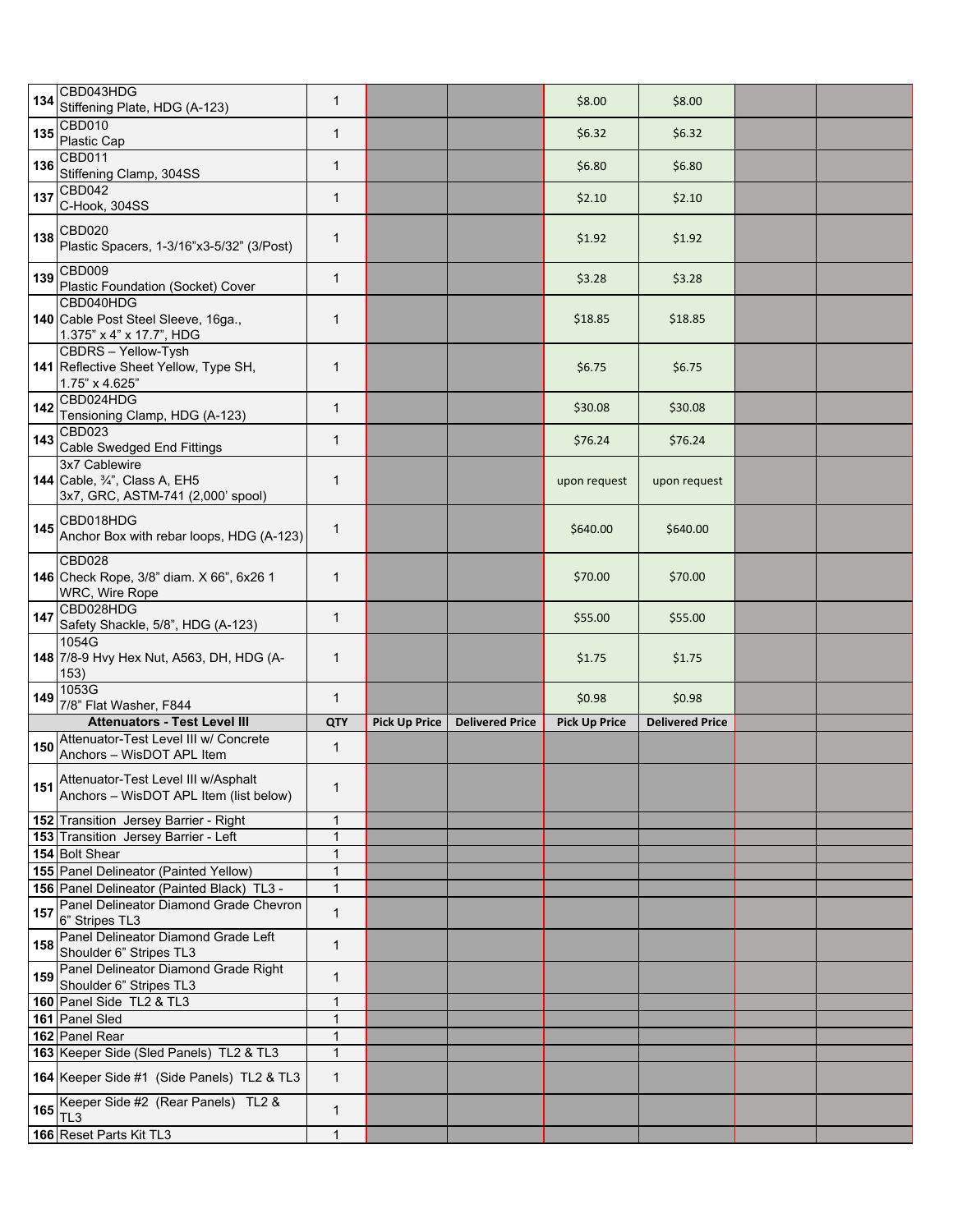| 134        | CBD043HDG<br>Stiffening Plate, HDG (A-123)                                                                 | $\mathbf{1}$      |                      |                        | \$8.00               | \$8.00                 |  |
|------------|------------------------------------------------------------------------------------------------------------|-------------------|----------------------|------------------------|----------------------|------------------------|--|
| 135        | <b>CBD010</b><br>Plastic Cap                                                                               | 1                 |                      |                        | \$6.32               | \$6.32                 |  |
| 136        | <b>CBD011</b>                                                                                              | $\mathbf{1}$      |                      |                        | \$6.80               | \$6.80                 |  |
| 137        | Stiffening Clamp, 304SS<br>CBD042                                                                          | 1                 |                      |                        | \$2.10               | \$2.10                 |  |
| 138        | C-Hook, 304SS<br><b>CBD020</b><br>Plastic Spacers, 1-3/16"x3-5/32" (3/Post)                                | $\mathbf{1}$      |                      |                        | \$1.92               | \$1.92                 |  |
| 139        | CBD009                                                                                                     | $\mathbf{1}$      |                      |                        | \$3.28               | \$3.28                 |  |
|            | Plastic Foundation (Socket) Cover<br>CBD040HDG                                                             |                   |                      |                        |                      |                        |  |
|            | 140 Cable Post Steel Sleeve, 16ga.,<br>1.375" x 4" x 17.7", HDG                                            | $\mathbf{1}$      |                      |                        | \$18.85              | \$18.85                |  |
|            | CBDRS - Yellow-Tysh<br>141 Reflective Sheet Yellow, Type SH,<br>1.75" x 4.625"                             | 1                 |                      |                        | \$6.75               | \$6.75                 |  |
| 142        | CBD024HDG<br>Tensioning Clamp, HDG (A-123)                                                                 | $\mathbf{1}$      |                      |                        | \$30.08              | \$30.08                |  |
| 143        | <b>CBD023</b><br>Cable Swedged End Fittings                                                                | $\mathbf{1}$      |                      |                        | \$76.24              | \$76.24                |  |
|            | 3x7 Cablewire<br><b>144</b> Cable, 3/4", Class A, EH5<br>3x7, GRC, ASTM-741 (2,000' spool)                 | 1                 |                      |                        | upon request         | upon request           |  |
| 145        | CBD018HDG<br>Anchor Box with rebar loops, HDG (A-123)                                                      | $\mathbf{1}$      |                      |                        | \$640.00             | \$640.00               |  |
|            | CBD028<br>146 Check Rope, 3/8" diam. X 66", 6x26 1<br>WRC, Wire Rope                                       | $\mathbf{1}$      |                      |                        | \$70.00              | \$70.00                |  |
| 147        | CBD028HDG                                                                                                  | $\mathbf{1}$      |                      |                        | \$55.00              | \$55.00                |  |
|            | Safety Shackle, 5/8", HDG (A-123)                                                                          |                   |                      |                        |                      |                        |  |
|            | 1054G<br>148 7/8-9 Hvy Hex Nut, A563, DH, HDG (A-                                                          | 1                 |                      |                        | \$1.75               | \$1.75                 |  |
| 149        | 153)<br>1053G                                                                                              | $\mathbf{1}$      |                      |                        | \$0.98               | \$0.98                 |  |
|            | 7/8" Flat Washer, F844<br><b>Attenuators - Test Level III</b>                                              | QTY               |                      | <b>Delivered Price</b> |                      | <b>Delivered Price</b> |  |
| 150        | Attenuator-Test Level III w/ Concrete                                                                      | $\mathbf{1}$      | <b>Pick Up Price</b> |                        | <b>Pick Up Price</b> |                        |  |
| 151        | Anchors - WisDOT APL Item<br>Attenuator-Test Level III w/Asphalt<br>Anchors - WisDOT APL Item (list below) | 1                 |                      |                        |                      |                        |  |
|            | 152 Transition Jersey Barrier - Right                                                                      | 1                 |                      |                        |                      |                        |  |
|            | 153 Transition Jersey Barrier - Left                                                                       | $\mathbf{1}$      |                      |                        |                      |                        |  |
|            | 154 Bolt Shear                                                                                             | 1                 |                      |                        |                      |                        |  |
|            | 155 Panel Delineator (Painted Yellow)                                                                      | $\mathbf{1}$      |                      |                        |                      |                        |  |
|            | 156 Panel Delineator (Painted Black) TL3 -<br>Panel Delineator Diamond Grade Chevron                       | 1<br>$\mathbf{1}$ |                      |                        |                      |                        |  |
| 157<br>158 | 6" Stripes TL3<br>Panel Delineator Diamond Grade Left                                                      | 1                 |                      |                        |                      |                        |  |
|            | Shoulder 6" Stripes TL3<br>Panel Delineator Diamond Grade Right                                            | $\mathbf{1}$      |                      |                        |                      |                        |  |
| 159        | Shoulder 6" Stripes TL3                                                                                    |                   |                      |                        |                      |                        |  |
|            | 160 Panel Side TL2 & TL3                                                                                   | $\mathbf{1}$      |                      |                        |                      |                        |  |
|            | 161 Panel Sled                                                                                             | 1<br>1            |                      |                        |                      |                        |  |
|            | 162 Panel Rear<br>163 Keeper Side (Sled Panels) TL2 & TL3                                                  | 1                 |                      |                        |                      |                        |  |
|            | 164 Keeper Side #1 (Side Panels) TL2 & TL3                                                                 | 1                 |                      |                        |                      |                        |  |
|            | 165 Keeper Side #2 (Rear Panels) TL2 &<br>TL <sub>3</sub><br>166 Reset Parts Kit TL3                       | $\mathbf{1}$      |                      |                        |                      |                        |  |